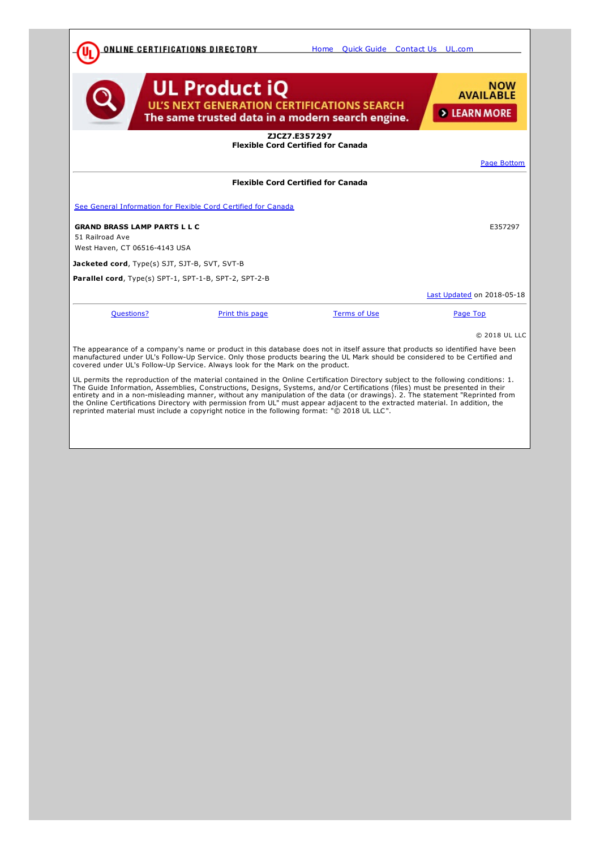<span id="page-0-0"></span>

| <u>ONLINE CERTIFICATIONS DIRECTORY</u>                                                                                                                                                                                                                                                                                                                                                                                                                                                                                                                                                                                                |                                                                                                                               | Home Ouick Guide Contact Us UL.com |                                                    |  |  |
|---------------------------------------------------------------------------------------------------------------------------------------------------------------------------------------------------------------------------------------------------------------------------------------------------------------------------------------------------------------------------------------------------------------------------------------------------------------------------------------------------------------------------------------------------------------------------------------------------------------------------------------|-------------------------------------------------------------------------------------------------------------------------------|------------------------------------|----------------------------------------------------|--|--|
|                                                                                                                                                                                                                                                                                                                                                                                                                                                                                                                                                                                                                                       | <b>UL Product iQ</b><br><b>UL'S NEXT GENERATION CERTIFICATIONS SEARCH</b><br>The same trusted data in a modern search engine. |                                    | <b>NOW</b><br><b>AVAILABLE</b><br><b>EXAMPLE 2</b> |  |  |
| ZICZ7.E357297<br><b>Flexible Cord Certified for Canada</b>                                                                                                                                                                                                                                                                                                                                                                                                                                                                                                                                                                            |                                                                                                                               |                                    |                                                    |  |  |
|                                                                                                                                                                                                                                                                                                                                                                                                                                                                                                                                                                                                                                       |                                                                                                                               |                                    | Page Bottom                                        |  |  |
|                                                                                                                                                                                                                                                                                                                                                                                                                                                                                                                                                                                                                                       | <b>Flexible Cord Certified for Canada</b>                                                                                     |                                    |                                                    |  |  |
| See General Information for Flexible Cord Certified for Canada                                                                                                                                                                                                                                                                                                                                                                                                                                                                                                                                                                        |                                                                                                                               |                                    |                                                    |  |  |
| <b>GRAND BRASS LAMP PARTS L L C</b>                                                                                                                                                                                                                                                                                                                                                                                                                                                                                                                                                                                                   |                                                                                                                               |                                    | E357297                                            |  |  |
| 51 Railroad Ave<br>West Haven, CT 06516-4143 USA                                                                                                                                                                                                                                                                                                                                                                                                                                                                                                                                                                                      |                                                                                                                               |                                    |                                                    |  |  |
| Jacketed cord, Type(s) SJT, SJT-B, SVT, SVT-B                                                                                                                                                                                                                                                                                                                                                                                                                                                                                                                                                                                         |                                                                                                                               |                                    |                                                    |  |  |
| Parallel cord, Type(s) SPT-1, SPT-1-B, SPT-2, SPT-2-B                                                                                                                                                                                                                                                                                                                                                                                                                                                                                                                                                                                 |                                                                                                                               |                                    |                                                    |  |  |
|                                                                                                                                                                                                                                                                                                                                                                                                                                                                                                                                                                                                                                       |                                                                                                                               |                                    | Last Updated on 2018-05-18                         |  |  |
| <b>Questions?</b>                                                                                                                                                                                                                                                                                                                                                                                                                                                                                                                                                                                                                     | Print this page                                                                                                               | <b>Terms of Use</b>                | Page Top                                           |  |  |
|                                                                                                                                                                                                                                                                                                                                                                                                                                                                                                                                                                                                                                       |                                                                                                                               |                                    | © 2018 UL LLC                                      |  |  |
| The appearance of a company's name or product in this database does not in itself assure that products so identified have been<br>manufactured under UL's Follow-Up Service. Only those products bearing the UL Mark should be considered to be Certified and<br>covered under UL's Follow-Up Service. Always look for the Mark on the product.                                                                                                                                                                                                                                                                                       |                                                                                                                               |                                    |                                                    |  |  |
| UL permits the reproduction of the material contained in the Online Certification Directory subject to the following conditions: 1.<br>The Guide Information, Assemblies, Constructions, Designs, Systems, and/or Certifications (files) must be presented in their<br>entirety and in a non-misleading manner, without any manipulation of the data (or drawings). 2. The statement "Reprinted from<br>the Online Certifications Directory with permission from UL" must appear adjacent to the extracted material. In addition, the<br>reprinted material must include a copyright notice in the following format: "© 2018 UL LLC". |                                                                                                                               |                                    |                                                    |  |  |